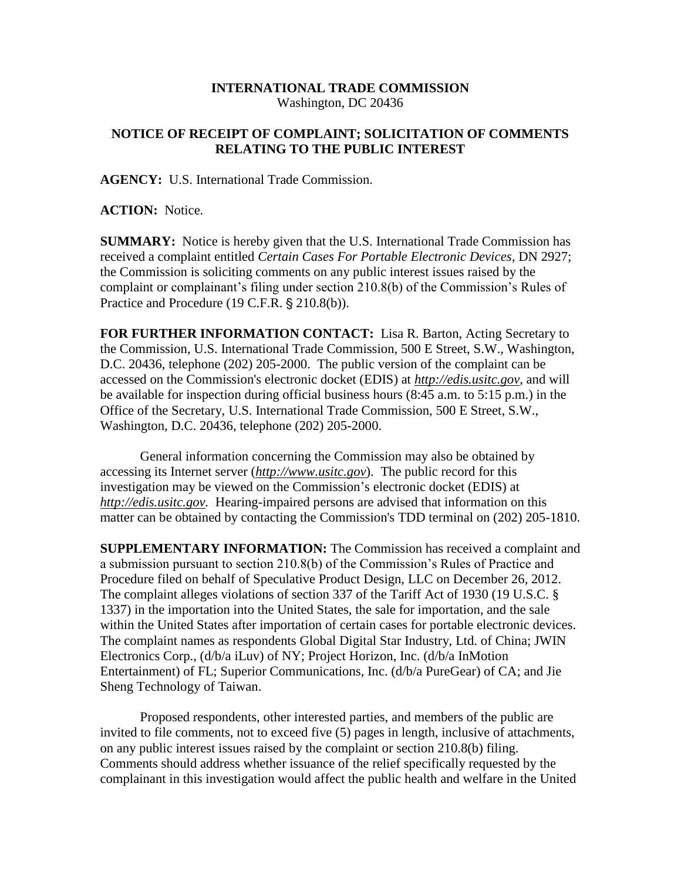## **INTERNATIONAL TRADE COMMISSION** Washington, DC 20436

## **NOTICE OF RECEIPT OF COMPLAINT; SOLICITATION OF COMMENTS RELATING TO THE PUBLIC INTEREST**

**AGENCY:** U.S. International Trade Commission.

**ACTION:** Notice.

**SUMMARY:** Notice is hereby given that the U.S. International Trade Commission has received a complaint entitled *Certain Cases For Portable Electronic Devices,* DN 2927; the Commission is soliciting comments on any public interest issues raised by the complaint or complainant's filing under section 210.8(b) of the Commission's Rules of Practice and Procedure (19 C.F.R. § 210.8(b)).

**FOR FURTHER INFORMATION CONTACT:** Lisa R. Barton, Acting Secretary to the Commission, U.S. International Trade Commission, 500 E Street, S.W., Washington, D.C. 20436, telephone (202) 205-2000. The public version of the complaint can be accessed on the Commission's electronic docket (EDIS) at *http://edis.usitc.gov*, and will be available for inspection during official business hours (8:45 a.m. to 5:15 p.m.) in the Office of the Secretary, U.S. International Trade Commission, 500 E Street, S.W., Washington, D.C. 20436, telephone (202) 205-2000.

General information concerning the Commission may also be obtained by accessing its Internet server (*http://www.usitc.gov*). The public record for this investigation may be viewed on the Commission's electronic docket (EDIS) at *http://edis.usitc.gov.* Hearing-impaired persons are advised that information on this matter can be obtained by contacting the Commission's TDD terminal on (202) 205-1810.

**SUPPLEMENTARY INFORMATION:** The Commission has received a complaint and a submission pursuant to section 210.8(b) of the Commission's Rules of Practice and Procedure filed on behalf of Speculative Product Design, LLC on December 26, 2012. The complaint alleges violations of section 337 of the Tariff Act of 1930 (19 U.S.C. § 1337) in the importation into the United States, the sale for importation, and the sale within the United States after importation of certain cases for portable electronic devices. The complaint names as respondents Global Digital Star Industry, Ltd. of China; JWIN Electronics Corp., (d/b/a iLuv) of NY; Project Horizon, Inc. (d/b/a InMotion Entertainment) of FL; Superior Communications, Inc. (d/b/a PureGear) of CA; and Jie Sheng Technology of Taiwan.

Proposed respondents, other interested parties, and members of the public are invited to file comments, not to exceed five (5) pages in length, inclusive of attachments, on any public interest issues raised by the complaint or section 210.8(b) filing. Comments should address whether issuance of the relief specifically requested by the complainant in this investigation would affect the public health and welfare in the United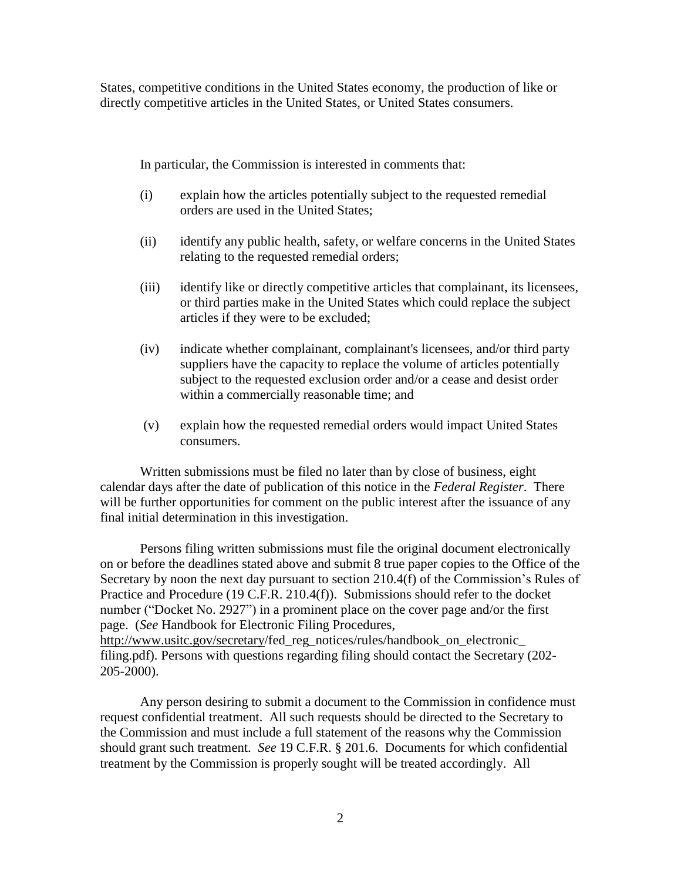States, competitive conditions in the United States economy, the production of like or directly competitive articles in the United States, or United States consumers.

In particular, the Commission is interested in comments that:

- (i) explain how the articles potentially subject to the requested remedial orders are used in the United States;
- (ii) identify any public health, safety, or welfare concerns in the United States relating to the requested remedial orders;
- (iii) identify like or directly competitive articles that complainant, its licensees, or third parties make in the United States which could replace the subject articles if they were to be excluded;
- (iv) indicate whether complainant, complainant's licensees, and/or third party suppliers have the capacity to replace the volume of articles potentially subject to the requested exclusion order and/or a cease and desist order within a commercially reasonable time; and
- (v) explain how the requested remedial orders would impact United States consumers.

Written submissions must be filed no later than by close of business, eight calendar days after the date of publication of this notice in the *Federal Register*. There will be further opportunities for comment on the public interest after the issuance of any final initial determination in this investigation.

Persons filing written submissions must file the original document electronically on or before the deadlines stated above and submit 8 true paper copies to the Office of the Secretary by noon the next day pursuant to section 210.4(f) of the Commission's Rules of Practice and Procedure (19 C.F.R. 210.4(f)). Submissions should refer to the docket number ("Docket No. 2927") in a prominent place on the cover page and/or the first page. (*See* Handbook for Electronic Filing Procedures, http://www.usitc.gov/secretary/fed\_reg\_notices/rules/handbook\_on\_electronic\_ filing.pdf). Persons with questions regarding filing should contact the Secretary (202-

205-2000).

Any person desiring to submit a document to the Commission in confidence must request confidential treatment. All such requests should be directed to the Secretary to the Commission and must include a full statement of the reasons why the Commission should grant such treatment. *See* 19 C.F.R. § 201.6. Documents for which confidential treatment by the Commission is properly sought will be treated accordingly. All